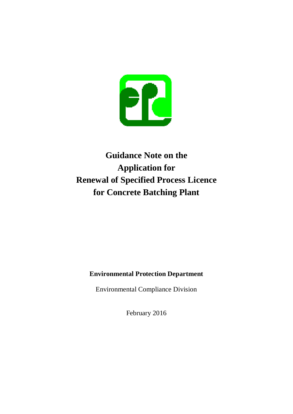

# **Guidance Note on the Application for Renewal of Specified Process Licence for Concrete Batching Plant**

## **Environmental Protection Department**

Environmental Compliance Division

February 2016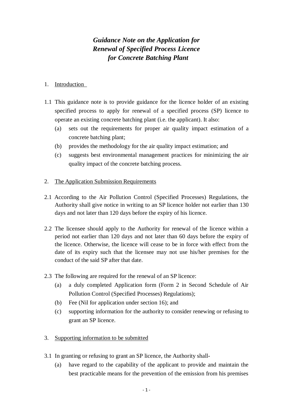## *Guidance Note on the Application for Renewal of Specified Process Licence for Concrete Batching Plant*

#### 1. Introduction

- 1.1 This guidance note is to provide guidance for the licence holder of an existing specified process to apply for renewal of a specified process (SP) licence to operate an existing concrete batching plant (i.e. the applicant). It also:
	- (a) sets out the requirements for proper air quality impact estimation of a concrete batching plant;
	- (b) provides the methodology for the air quality impact estimation; and
	- (c) suggests best environmental management practices for minimizing the air quality impact of the concrete batching process.

#### 2. The Application Submission Requirements

- 2.1 According to the Air Pollution Control (Specified Processes) Regulations, the Authority shall give notice in writing to an SP licence holder not earlier than 130 days and not later than 120 days before the expiry of his licence.
- 2.2 The licensee should apply to the Authority for renewal of the licence within a period not earlier than 120 days and not later than 60 days before the expiry of the licence. Otherwise, the licence will cease to be in force with effect from the date of its expiry such that the licensee may not use his/her premises for the conduct of the said SP after that date.
- 2.3 The following are required for the renewal of an SP licence:
	- (a) a duly completed Application form (Form 2 in Second Schedule of Air Pollution Control (Specified Processes) Regulations);
	- (b) Fee (Nil for application under section 16); and
	- (c) supporting information for the authority to consider renewing or refusing to grant an SP licence.
- 3. Supporting information to be submitted
- 3.1 In granting or refusing to grant an SP licence, the Authority shall-
	- (a) have regard to the capability of the applicant to provide and maintain the best practicable means for the prevention of the emission from his premises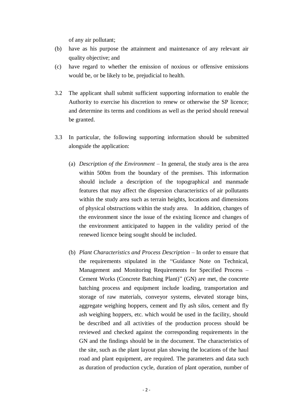of any air pollutant;

- (b) have as his purpose the attainment and maintenance of any relevant air quality objective; and
- (c) have regard to whether the emission of noxious or offensive emissions would be, or be likely to be, prejudicial to health.
- 3.2 The applicant shall submit sufficient supporting information to enable the Authority to exercise his discretion to renew or otherwise the SP licence; and determine its terms and conditions as well as the period should renewal be granted.
- 3.3 In particular, the following supporting information should be submitted alongside the application:
	- (a) *Description of the Environment* In general, the study area is the area within 500m from the boundary of the premises. This information should include a description of the topographical and manmade features that may affect the dispersion characteristics of air pollutants within the study area such as terrain heights, locations and dimensions of physical obstructions within the study area. In addition, changes of the environment since the issue of the existing licence and changes of the environment anticipated to happen in the validity period of the renewed licence being sought should be included.
	- (b) *Plant Characteristics and Process Description* In order to ensure that the requirements stipulated in the "Guidance Note on Technical, Management and Monitoring Requirements for Specified Process – Cement Works (Concrete Batching Plant)" (GN) are met, the concrete batching process and equipment include loading, transportation and storage of raw materials, conveyor systems, elevated storage bins, aggregate weighing hoppers, cement and fly ash silos, cement and fly ash weighing hoppers, etc. which would be used in the facility, should be described and all activities of the production process should be reviewed and checked against the corresponding requirements in the GN and the findings should be in the document. The characteristics of the site, such as the plant layout plan showing the locations of the haul road and plant equipment, are required. The parameters and data such as duration of production cycle, duration of plant operation, number of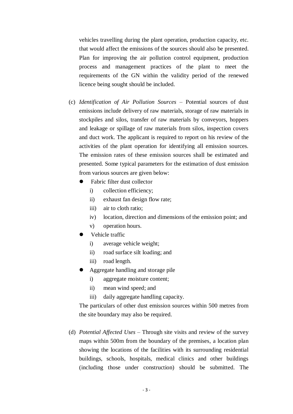vehicles travelling during the plant operation, production capacity, etc. that would affect the emissions of the sources should also be presented. Plan for improving the air pollution control equipment, production process and management practices of the plant to meet the requirements of the GN within the validity period of the renewed licence being sought should be included.

- (c) *Identification of Air Pollution Sources* Potential sources of dust emissions include delivery of raw materials, storage of raw materials in stockpiles and silos, transfer of raw materials by conveyors, hoppers and leakage or spillage of raw materials from silos, inspection covers and duct work. The applicant is required to report on his review of the activities of the plant operation for identifying all emission sources. The emission rates of these emission sources shall be estimated and presented. Some typical parameters for the estimation of dust emission from various sources are given below:
	- Fabric filter dust collector
		- i) collection efficiency;
		- ii) exhaust fan design flow rate;
		- iii) air to cloth ratio;
		- iv) location, direction and dimensions of the emission point; and
		- v) operation hours.
	- Vehicle traffic
		- i) average vehicle weight;
		- ii) road surface silt loading; and
		- iii) road length.
	- Aggregate handling and storage pile
		- i) aggregate moisture content;
		- ii) mean wind speed; and
		- iii) daily aggregate handling capacity.

The particulars of other dust emission sources within 500 metres from the site boundary may also be required.

(d) *Potential Affected Uses* – Through site visits and review of the survey maps within 500m from the boundary of the premises, a location plan showing the locations of the facilities with its surrounding residential buildings, schools, hospitals, medical clinics and other buildings (including those under construction) should be submitted. The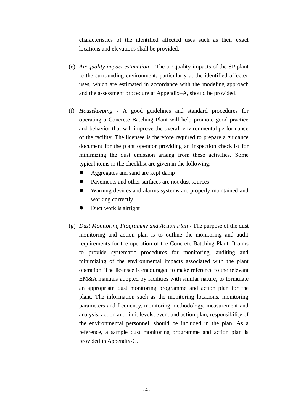characteristics of the identified affected uses such as their exact locations and elevations shall be provided.

- (e) *Air quality impact estimation* The air quality impacts of the SP plant to the surrounding environment, particularly at the identified affected uses, which are estimated in accordance with the modeling approach and the assessment procedure at Appendix–A, should be provided.
- (f) *Housekeeping* A good guidelines and standard procedures for operating a Concrete Batching Plant will help promote good practice and behavior that will improve the overall environmental performance of the facility. The licensee is therefore required to prepare a guidance document for the plant operator providing an inspection checklist for minimizing the dust emission arising from these activities. Some typical items in the checklist are given in the following:
	- Aggregates and sand are kept damp
	- Pavements and other surfaces are not dust sources
	- Warning devices and alarms systems are properly maintained and working correctly
	- Duct work is airtight
- (g) *Dust Monitoring Programme and Action Plan* The purpose of the dust monitoring and action plan is to outline the monitoring and audit requirements for the operation of the Concrete Batching Plant. It aims to provide systematic procedures for monitoring, auditing and minimizing of the environmental impacts associated with the plant operation. The licensee is encouraged to make reference to the relevant EM&A manuals adopted by facilities with similar nature, to formulate an appropriate dust monitoring programme and action plan for the plant. The information such as the monitoring locations, monitoring parameters and frequency, monitoring methodology, measurement and analysis, action and limit levels, event and action plan, responsibility of the environmental personnel, should be included in the plan. As a reference, a sample dust monitoring programme and action plan is provided in Appendix-C.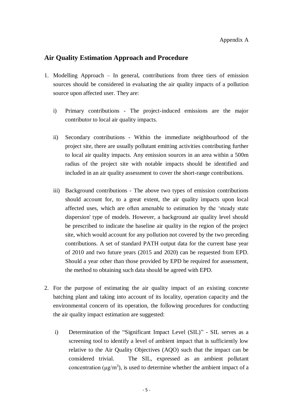#### **Air Quality Estimation Approach and Procedure**

- 1. Modelling Approach In general, contributions from three tiers of emission sources should be considered in evaluating the air quality impacts of a pollution source upon affected user. They are:
	- i) Primary contributions The project-induced emissions are the major contributor to local air quality impacts.
	- ii) Secondary contributions Within the immediate neighbourhood of the project site, there are usually pollutant emitting activities contributing further to local air quality impacts. Any emission sources in an area within a 500m radius of the project site with notable impacts should be identified and included in an air quality assessment to cover the short-range contributions.
	- iii) Background contributions The above two types of emission contributions should account for, to a great extent, the air quality impacts upon local affected uses, which are often amenable to estimation by the 'steady state dispersion' type of models. However, a background air quality level should be prescribed to indicate the baseline air quality in the region of the project site, which would account for any pollution not covered by the two preceding contributions. A set of standard PATH output data for the current base year of 2010 and two future years (2015 and 2020) can be requested from EPD. Should a year other than those provided by EPD be required for assessment, the method to obtaining such data should be agreed with EPD.
- 2. For the purpose of estimating the air quality impact of an existing concrete batching plant and taking into account of its locality, operation capacity and the environmental concern of its operation, the following procedures for conducting the air quality impact estimation are suggested:
	- i) Determination of the "Significant Impact Level (SIL)" SIL serves as a screening tool to identify a level of ambient impact that is sufficiently low relative to the Air Quality Objectives (AQO) such that the impact can be considered trivial. The SIL, expressed as an ambient pollutant concentration ( $\mu$ g/m<sup>3</sup>), is used to determine whether the ambient impact of a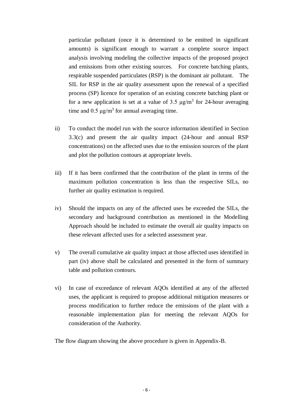particular pollutant (once it is determined to be emitted in significant amounts) is significant enough to warrant a complete source impact analysis involving modeling the collective impacts of the proposed project and emissions from other existing sources. For concrete batching plants, respirable suspended particulates (RSP) is the dominant air pollutant. The SIL for RSP in the air quality assessment upon the renewal of a specified process (SP) licence for operation of an existing concrete batching plant or for a new application is set at a value of 3.5  $\mu$ g/m<sup>3</sup> for 24-hour averaging time and  $0.5 \mu g/m^3$  for annual averaging time.

- ii) To conduct the model run with the source information identified in Section 3.3(c) and present the air quality impact (24-hour and annual RSP concentrations) on the affected uses due to the emission sources of the plant and plot the pollution contours at appropriate levels.
- iii) If it has been confirmed that the contribution of the plant in terms of the maximum pollution concentration is less than the respective SILs, no further air quality estimation is required.
- iv) Should the impacts on any of the affected uses be exceeded the SILs, the secondary and background contribution as mentioned in the Modelling Approach should be included to estimate the overall air quality impacts on these relevant affected uses for a selected assessment year.
- v) The overall cumulative air quality impact at those affected uses identified in part (iv) above shall be calculated and presented in the form of summary table and pollution contours.
- vi) In case of exceedance of relevant AQOs identified at any of the affected uses, the applicant is required to propose additional mitigation measures or process modification to further reduce the emissions of the plant with a reasonable implementation plan for meeting the relevant AQOs for consideration of the Authority.

The flow diagram showing the above procedure is given in Appendix-B.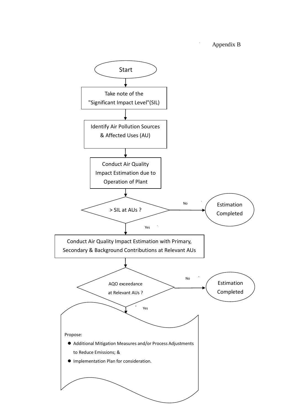Appendix B